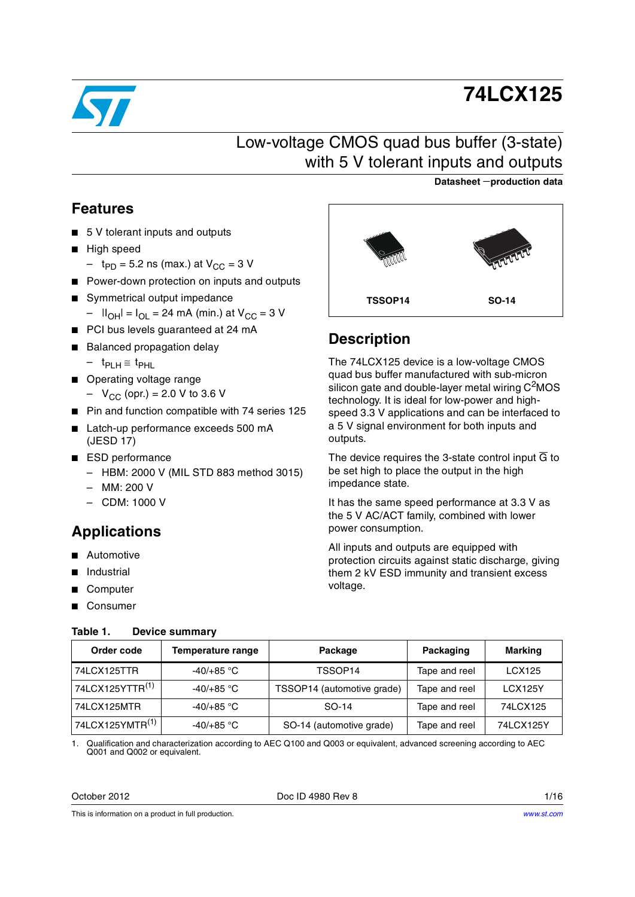

# **74LCX125**

## Low-voltage CMOS quad bus buffer (3-state) with 5 V tolerant inputs and outputs

### **Datasheet** −**production data**

### <span id="page-0-2"></span>**Features**

- 5 V tolerant inputs and outputs
- High speed
	- $-$  t<sub>PD</sub> = 5.2 ns (max.) at  $V_{CC}$  = 3 V
- Power-down protection on inputs and outputs
- Symmetrical output impedance  $||_{OH} = I_{OL} = 24$  mA (min.) at V<sub>CC</sub> = 3 V
- PCI bus levels guaranteed at 24 mA
- Balanced propagation delay
	- $t_{PLH}$ ≅  $t_{PHI}$
- Operating voltage range
	- $-V_{CC}$  (opr.) = 2.0 V to 3.6 V
- Pin and function compatible with 74 series 125
- Latch-up performance exceeds 500 mA (JESD 17)
- ESD performance
	- HBM: 2000 V (MIL STD 883 method 3015)
	- MM: 200 V
	- CDM: 1000 V

## **Applications**

- **Automotive**
- Industrial
- **Computer**
- **Consumer**

### <span id="page-0-1"></span>**Table 1. Device summary**

| محمد           | <b>TELEFTER</b> |
|----------------|-----------------|
| <b>TSSOP14</b> | <b>SO-14</b>    |

## **Description**

The 74LCX125 device is a low-voltage CMOS quad bus buffer manufactured with sub-micron silicon gate and double-layer metal wiring  $C<sup>2</sup>MOS$ technology. It is ideal for low-power and highspeed 3.3 V applications and can be interfaced to a 5 V signal environment for both inputs and outputs.

The device requires the 3-state control input  $\overline{G}$  to be set high to place the output in the high impedance state.

It has the same speed performance at 3.3 V as the 5 V AC/ACT family, combined with lower power consumption.

All inputs and outputs are equipped with protection circuits against static discharge, giving them 2 kV ESD immunity and transient excess voltage.

| Order code<br>Temperature range |              | Package                    | Packaging     | <b>Marking</b> |  |
|---------------------------------|--------------|----------------------------|---------------|----------------|--|
| 74LCX125TTR                     | $-40/+85$ °C | TSSOP14                    | Tape and reel | <b>LCX125</b>  |  |
| 74LCX125YTTR <sup>(1)</sup>     | $-40/+85$ °C | TSSOP14 (automotive grade) | Tape and reel | <b>LCX125Y</b> |  |
| 74LCX125MTR                     | $-40/+85$ °C | SO-14                      | Tape and reel | 74LCX125       |  |
| 74LCX125YMTR <sup>(1)</sup>     | $-40/+85$ °C | SO-14 (automotive grade)   | Tape and reel | 74LCX125Y      |  |

<span id="page-0-0"></span>1. Qualification and characterization according to AEC Q100 and Q003 or equivalent, advanced screening according to AEC Q001 and Q002 or equivalent.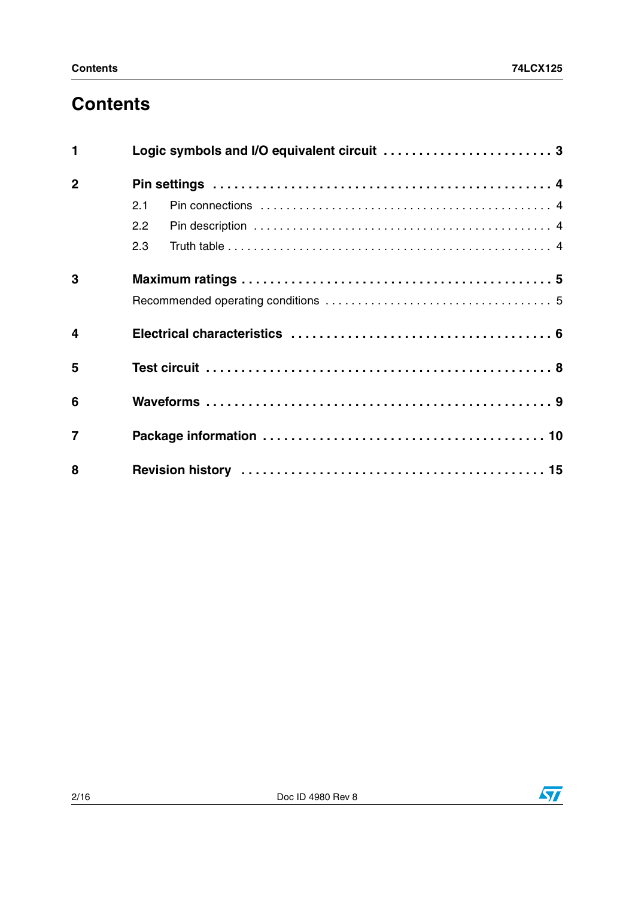# **Contents**

| $\mathbf{1}$            |     |  |
|-------------------------|-----|--|
| $\mathbf 2$             |     |  |
|                         | 2.1 |  |
|                         | 2.2 |  |
|                         | 2.3 |  |
| 3                       |     |  |
|                         |     |  |
| $\overline{\mathbf{4}}$ |     |  |
| 5                       |     |  |
| 6                       |     |  |
| $\overline{7}$          |     |  |
| 8                       |     |  |

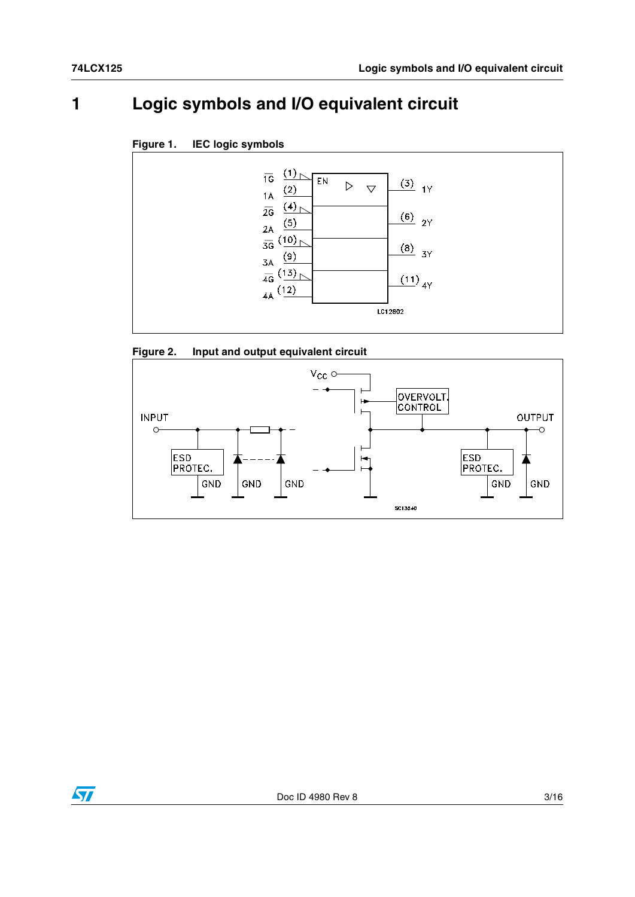## <span id="page-2-0"></span>**1 Logic symbols and I/O equivalent circuit**









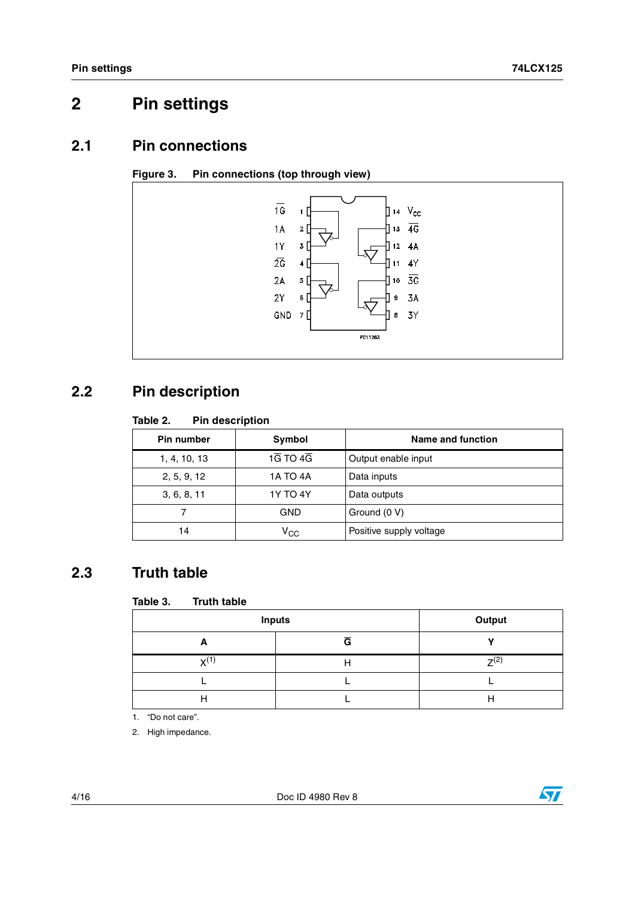## <span id="page-3-0"></span>**2 Pin settings**

### <span id="page-3-1"></span>**2.1 Pin connections**





## <span id="page-3-2"></span>**2.2 Pin description**

#### Table 2. **Pin description**

| <b>Pin number</b><br>Symbol    |                                    | Name and function       |  |  |
|--------------------------------|------------------------------------|-------------------------|--|--|
| 1, 4, 10, 13                   | $1\overline{G}$ TO $4\overline{G}$ | Output enable input     |  |  |
| <b>1A TO 4A</b><br>2, 5, 9, 12 |                                    | Data inputs             |  |  |
| 3, 6, 8, 11                    | <b>1Y TO 4Y</b>                    | Data outputs            |  |  |
|                                | GND                                | Ground (0 V)            |  |  |
| 14                             | $V_{\rm CC}$                       | Positive supply voltage |  |  |

## <span id="page-3-3"></span>**2.3 Truth table**

#### Table 3. **Truth table**

| <b>Inputs</b>   | Output |           |
|-----------------|--------|-----------|
| A               | G      |           |
| $\mathbf{y}(1)$ | ш      | $7^{(2)}$ |
|                 |        |           |
| Н               |        |           |

1. "Do not care".

2. High impedance.

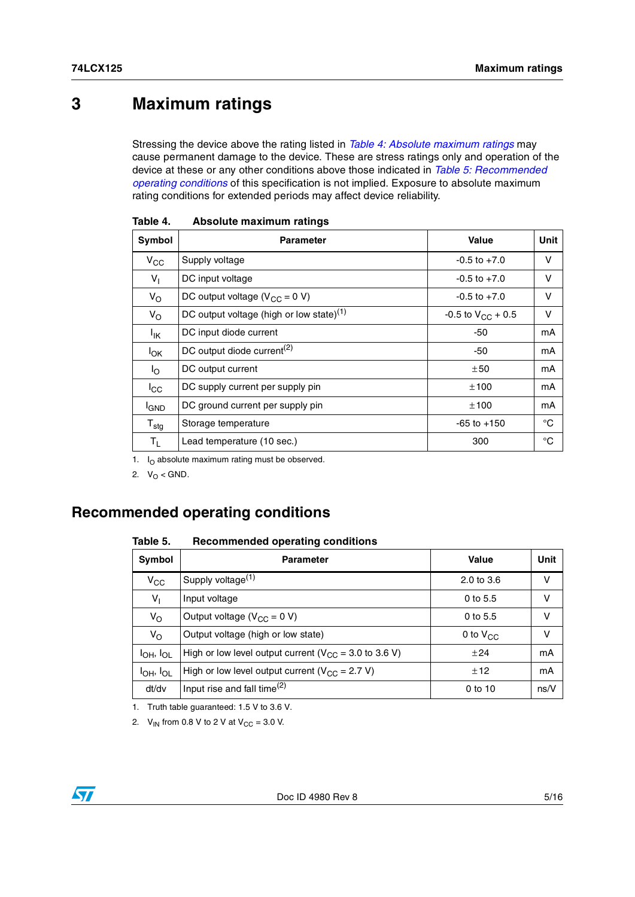## <span id="page-4-0"></span>**3 Maximum ratings**

Stressing the device above the rating listed in *[Table 4: Absolute maximum ratings](#page-4-2)* may cause permanent damage to the device. These are stress ratings only and operation of the device at these or any other conditions above those indicated in *[Table 5: Recommended](#page-4-3)  [operating conditions](#page-4-3)* of this specification is not implied. Exposure to absolute maximum rating conditions for extended periods may affect device reliability.

| Symbol           | <b>Parameter</b>                                     | Value                  | Unit        |
|------------------|------------------------------------------------------|------------------------|-------------|
| $V_{CC}$         | Supply voltage                                       | $-0.5$ to $+7.0$       | v           |
| $V_{\parallel}$  | DC input voltage                                     | $-0.5$ to $+7.0$       | v           |
| $V_{\rm O}$      | DC output voltage ( $V_{CC} = 0 V$ )                 | $-0.5$ to $+7.0$       | v           |
| $V_{\rm O}$      | DC output voltage (high or low state) <sup>(1)</sup> | -0.5 to $V_{CC}$ + 0.5 | v           |
| <sup>I</sup> IK  | DC input diode current                               | $-50$                  | mA          |
| $I_{OK}$         | DC output diode current <sup>(2)</sup>               | -50                    | mA          |
| I <sub>O</sub>   | DC output current                                    | ±50                    | mA          |
| $I_{\rm CC}$     | DC supply current per supply pin                     | ±100                   | mA          |
| <sup>I</sup> GND | DC ground current per supply pin                     | ±100                   | mA          |
| $T_{\text{stg}}$ | Storage temperature                                  | $-65$ to $+150$        | $^{\circ}C$ |
| T <sub>L</sub>   | Lead temperature (10 sec.)                           | 300                    | $^{\circ}C$ |

<span id="page-4-2"></span>

| Table 4. | Absolute maximum ratings |  |
|----------|--------------------------|--|
|          |                          |  |

1.  $I<sub>O</sub>$  absolute maximum rating must be observed.

2.  $V_O < GND$ .

### <span id="page-4-1"></span>**Recommended operating conditions**

#### <span id="page-4-3"></span>Table 5. **Table 5. Recommended operating conditions**

| Symbol              | <b>Parameter</b>                                            | Value                 | Unit |
|---------------------|-------------------------------------------------------------|-----------------------|------|
| $V_{CC}$            | Supply voltage <sup>(1)</sup>                               | $2.0 \text{ to } 3.6$ | v    |
| $V_1$               | Input voltage                                               | $0$ to 5.5            | v    |
| $V_{\rm O}$         | Output voltage ( $V_{CC}$ = 0 V)                            | $0$ to 5.5            | v    |
| $V_{\rm O}$         | Output voltage (high or low state)                          | 0 to $V_{CC}$         | v    |
| $I_{OH}$ , $I_{OL}$ | High or low level output current ( $V_{CC}$ = 3.0 to 3.6 V) | $+24$                 | mA   |
| $I_{OH}$ , $I_{OL}$ | High or low level output current ( $V_{CC}$ = 2.7 V)        | ±12                   | mA   |
| dt/dv               | Input rise and fall time $^{(2)}$                           | $0$ to 10             | ns/V |

1. Truth table guaranteed: 1.5 V to 3.6 V.

2.  $V_{IN}$  from 0.8 V to 2 V at  $V_{CC} = 3.0$  V.

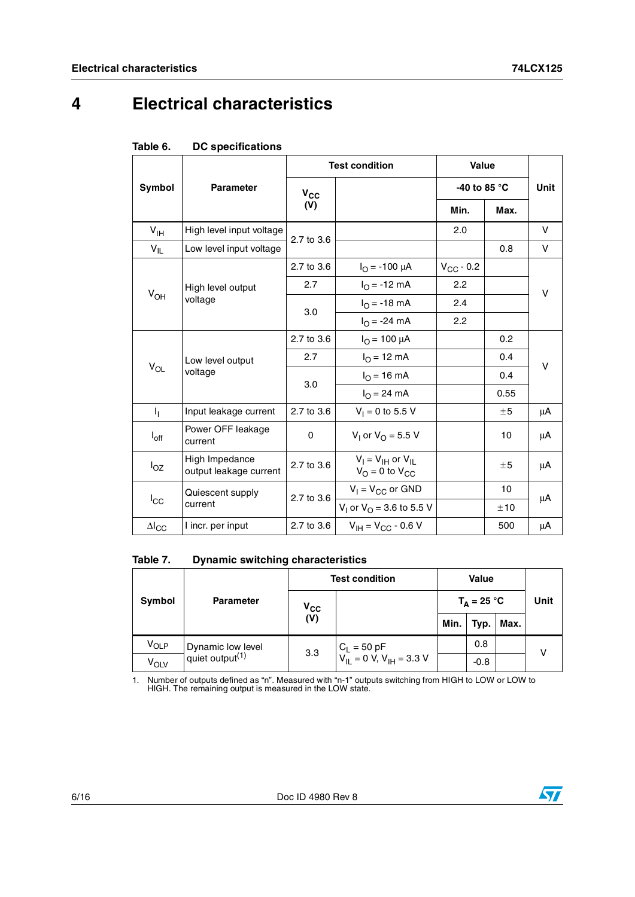# <span id="page-5-0"></span>**4 Electrical characteristics**

|                            |                                          |            | <b>Test condition</b>                               | <b>Value</b>       |      | Unit |  |
|----------------------------|------------------------------------------|------------|-----------------------------------------------------|--------------------|------|------|--|
| Symbol                     | <b>Parameter</b>                         | $V_{CC}$   |                                                     | -40 to 85 °C       |      |      |  |
|                            |                                          | (V)        |                                                     | Min.               | Max. |      |  |
| $V_{\text{IH}}$            | High level input voltage                 | 2.7 to 3.6 |                                                     | 2.0                |      | V    |  |
| $V_{IL}$                   | Low level input voltage                  |            |                                                     |                    | 0.8  | v    |  |
|                            |                                          | 2.7 to 3.6 | $I_{\Omega}$ = -100 µA                              | $V_{\rm CC}$ - 0.2 |      |      |  |
| $\mathsf{V}_{\mathsf{OH}}$ | High level output                        | 2.7        | $I_{O} = -12$ mA                                    | 2.2                |      | v    |  |
|                            | voltage                                  | 3.0        | $I_{\rm O}$ = -18 mA                                | 2.4                |      |      |  |
|                            |                                          |            | $I_{O} = -24$ mA                                    | 2.2                |      |      |  |
|                            | Low level output<br>voltage              | 2.7 to 3.6 | $I_{\text{O}} = 100 \mu A$                          |                    | 0.2  |      |  |
|                            |                                          | 2.7        | $I_{\Omega}$ = 12 mA                                |                    | 0.4  | v    |  |
| $V_{OL}$                   |                                          | 3.0        | $I_{O}$ = 16 mA                                     |                    | 0.4  |      |  |
|                            |                                          |            | $I_{\Omega} = 24 \text{ mA}$                        |                    | 0.55 |      |  |
| η.                         | Input leakage current                    | 2.7 to 3.6 | $V_1 = 0$ to 5.5 V                                  |                    | ±5   | μA   |  |
| $I_{off}$                  | Power OFF leakage<br>current             | $\Omega$   | $V_1$ or $V_0 = 5.5$ V                              |                    | 10   | μA   |  |
| $I_{OZ}$                   | High Impedance<br>output leakage current | 2.7 to 3.6 | $V_I = V_{IH}$ or $V_{IL}$<br>$V_O = 0$ to $V_{CC}$ |                    | ±5   | μA   |  |
|                            | Quiescent supply                         | 2.7 to 3.6 | $V_1 = V_{CC}$ or GND                               |                    | 10   | μA   |  |
| $I_{\rm CC}$               | current                                  |            | V <sub>1</sub> or V <sub>O</sub> = 3.6 to 5.5 V     |                    | ±10  |      |  |
| $\Delta I_{CC}$            | I incr. per input                        | 2.7 to 3.6 | $V_{IH} = V_{CC} - 0.6 V$                           |                    | 500  | μA   |  |

#### Table 7. **Dynamic switching characteristics**

| Symbol           |                    | <b>Test condition</b>      | <b>Value</b>                                                            |      |               |      |      |
|------------------|--------------------|----------------------------|-------------------------------------------------------------------------|------|---------------|------|------|
|                  | <b>Parameter</b>   | $\mathsf{v}_{\mathsf{cc}}$ |                                                                         |      | $T_A = 25 °C$ |      | Unit |
|                  |                    | (V)                        |                                                                         | Min. | Typ.          | Max. |      |
| V <sub>OLP</sub> | Dynamic low level  | 3.3                        | $C_L = 50 \text{ pF}$<br>$V_{IL} = 0 \text{ V}, V_{IH} = 3.3 \text{ V}$ |      | 0.8           |      | v    |
| V <sub>OLV</sub> | quiet output $(1)$ |                            |                                                                         |      | $-0.8$        |      |      |

1. Number of outputs defined as "n". Measured with "n-1" outputs switching from HIGH to LOW or LOW to HIGH. The remaining output is measured in the LOW state.

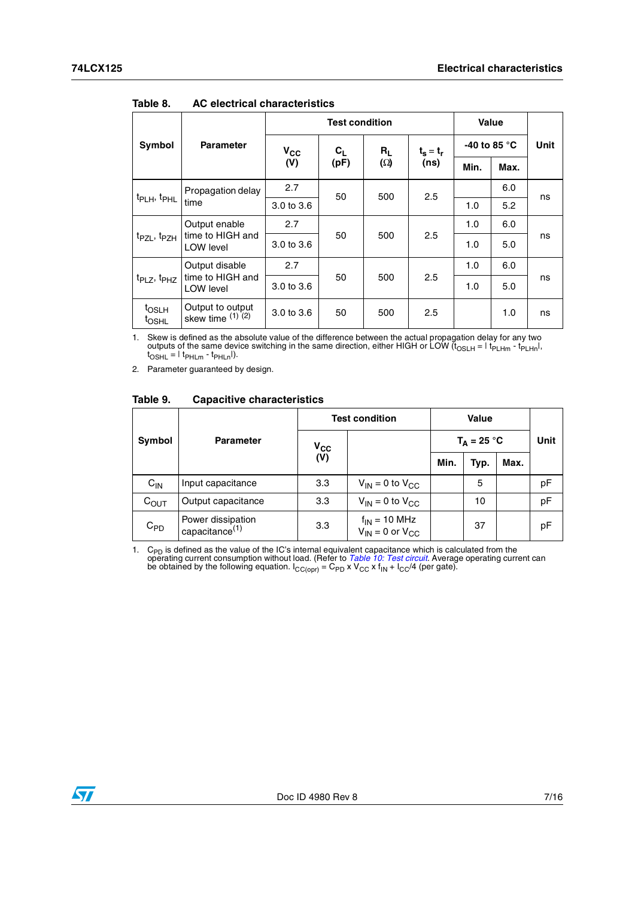|                                        |                                                 | <b>Test condition</b> |                                    |            |                     | Value                  |      |      |
|----------------------------------------|-------------------------------------------------|-----------------------|------------------------------------|------------|---------------------|------------------------|------|------|
| Symbol                                 | <b>Parameter</b>                                |                       | $V_{CC}$<br>$c_{L}$<br>(V)<br>(pF) | $R_L$      | $t_s = t_r$<br>(ns) | -40 to 85 $^{\circ}$ C |      | Unit |
|                                        |                                                 |                       |                                    | $(\Omega)$ |                     | Min.                   | Max. |      |
| t <sub>PLH</sub> , t <sub>PHL</sub>    | Propagation delay<br>time                       | 2.7                   | 50                                 | 500        | 2.5                 |                        | 6.0  | ns   |
|                                        |                                                 | 3.0 to 3.6            |                                    |            |                     | 1.0                    | 5.2  |      |
| t <sub>PZL</sub> , t <sub>PZH</sub>    | Output enable<br>time to HIGH and<br>LOW level  | 2.7                   | 50                                 | 500        | 2.5                 | 1.0                    | 6.0  | ns   |
|                                        |                                                 | 3.0 to 3.6            |                                    |            |                     | 1.0                    | 5.0  |      |
|                                        | Output disable<br>time to HIGH and<br>LOW level | 2.7                   |                                    |            | 2.5<br>500          | 1.0                    | 6.0  | ns   |
| $t_{PLZ}$ , $t_{PHZ}$                  |                                                 | 3.0 to 3.6            | 50                                 |            |                     | 1.0                    | 5.0  |      |
| <sup>t</sup> OSLH<br>t <sub>OSHL</sub> | Output to output<br>skew time $(1)$ $(2)$       | 3.0 to 3.6            | 50                                 | 500        | 2.5                 |                        | 1.0  | ns   |

Table 8. **Table 8. AC electrical characteristics**

1. Skew is defined as the absolute value of the difference between the actual propagation delay for any two outputs of the same device switching in the same direction, either HIGH or LOW (t<sub>OSLH</sub> =  $|t_{PLHm} - t_{PLHm}|$ ,  $t_{\text{OSHL}} = | t_{\text{PHLm}} - t_{\text{PHLn}} |$ ).

2. Parameter guaranteed by design.

#### Table 9. **Table 9. Capacitive characteristics**

|           |                                                 |                            | <b>Test condition</b>                                       | Value         |      |      |      |
|-----------|-------------------------------------------------|----------------------------|-------------------------------------------------------------|---------------|------|------|------|
| Symbol    | <b>Parameter</b>                                | $\mathsf{v}_{\mathsf{cc}}$ |                                                             | $T_A = 25 °C$ |      |      | Unit |
|           |                                                 | (V)                        |                                                             | Min.          | Typ. | Max. |      |
| $C_{IN}$  | Input capacitance                               | 3.3                        | $V_{IN}$ = 0 to $V_{CC}$                                    |               | 5    |      | pF   |
| $C_{OUT}$ | Output capacitance                              | 3.3                        | $V_{IN}$ = 0 to $V_{CC}$                                    |               | 10   |      | pF   |
| $C_{PD}$  | Power dissipation<br>capacitance <sup>(1)</sup> | 3.3                        | $f_{IN}$ = 10 MHz<br>V <sub>IN</sub> = 0 or V <sub>CC</sub> |               | 37   |      | pF   |

1. C<sub>PD</sub> is defined as the value of the IC's internal equivalent capacitance which is calculated from the operating current consumption without load. (Refer to *[Table 10: Test circuit](#page-7-1)*. Average operating current can be ob

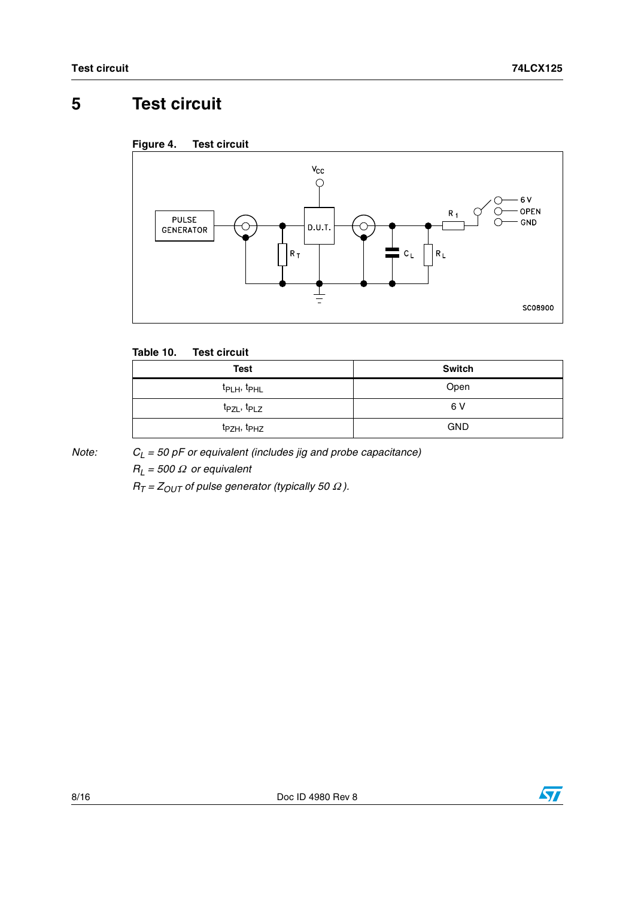# <span id="page-7-0"></span>**5 Test circuit**





### <span id="page-7-1"></span>**Table 10. Test circuit**

| <b>Test</b>                         | <b>Switch</b> |
|-------------------------------------|---------------|
| t <sub>PLH</sub> , t <sub>PHL</sub> | Open          |
| t <sub>PZL</sub> , t <sub>PLZ</sub> | 6 V           |
| t <sub>PZH</sub> , t <sub>PHZ</sub> | <b>GND</b>    |

*Note: CL = 50 pF or equivalent (includes jig and probe capacitance)*

*RL = 500* Ω *or equivalent*

 $R_T = Z_{OUT}$  of pulse generator (typically 50  $\Omega$ ).

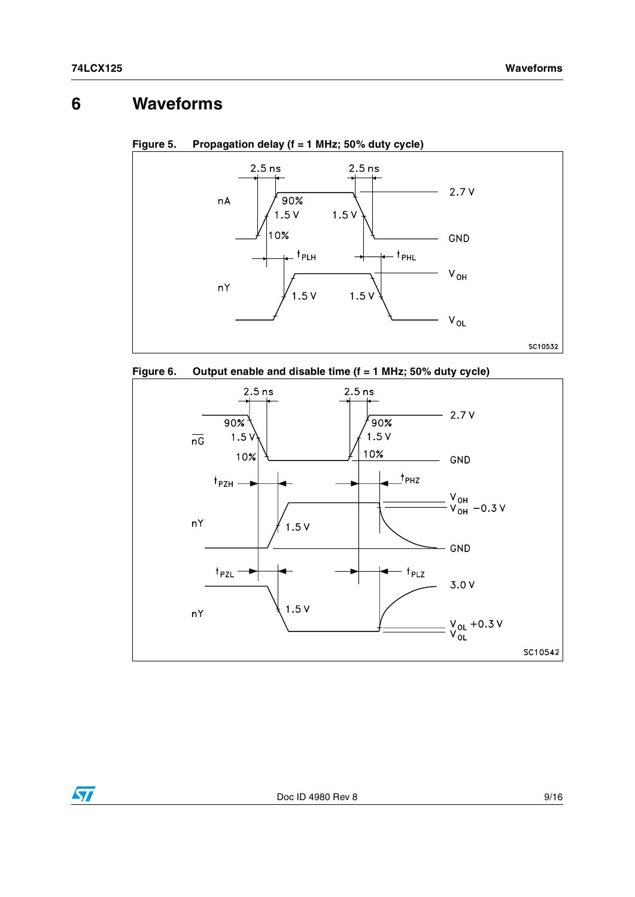## <span id="page-8-0"></span>**6 Waveforms**



**Figure 5. Propagation delay (f = 1 MHz; 50% duty cycle)** 





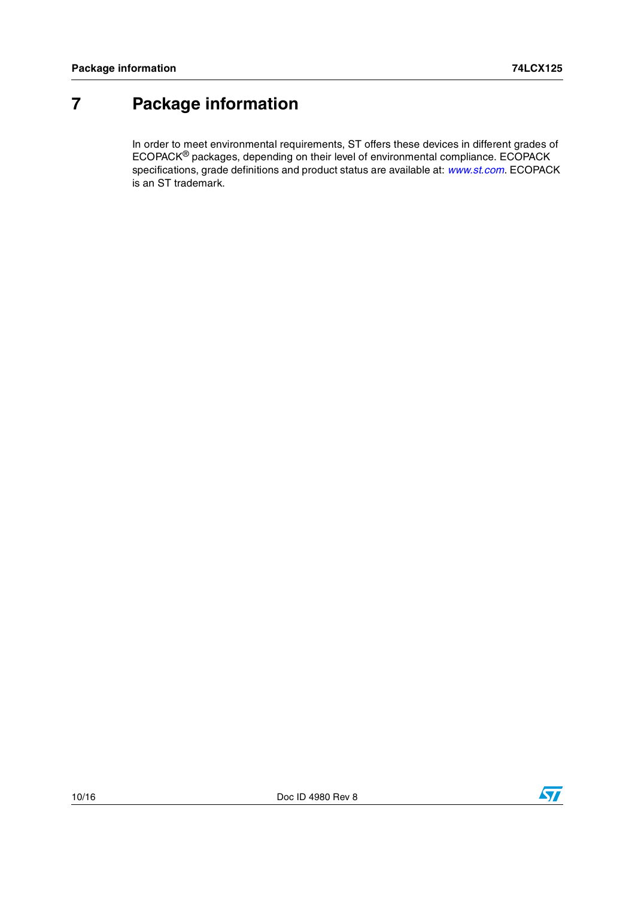## <span id="page-9-0"></span>**7 Package information**

In order to meet environmental requirements, ST offers these devices in different grades of ECOPACK® packages, depending on their level of environmental compliance. ECOPACK specifications, grade definitions and product status are available at: *[www.st.com](http://www.st.com)*. ECOPACK is an ST trademark.

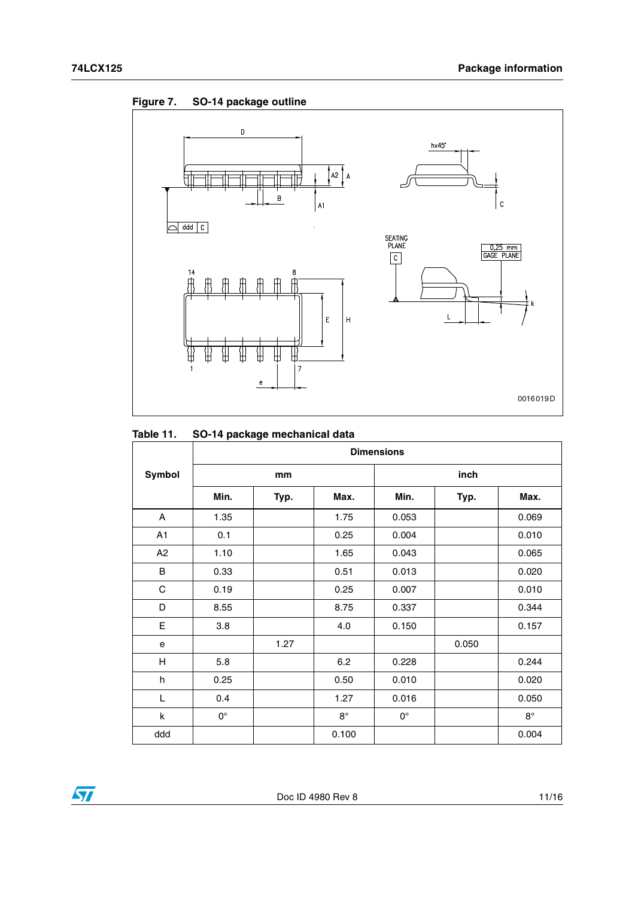



### **Table 11. SO-14 package mechanical data**

|                | <b>Dimensions</b> |      |             |             |       |             |  |
|----------------|-------------------|------|-------------|-------------|-------|-------------|--|
| Symbol         |                   | mm   |             |             | inch  |             |  |
|                | Min.              | Typ. | Max.        | Min.        | Typ.  | Max.        |  |
| A              | 1.35              |      | 1.75        | 0.053       |       | 0.069       |  |
| A <sub>1</sub> | 0.1               |      | 0.25        | 0.004       |       | 0.010       |  |
| A2             | 1.10              |      | 1.65        | 0.043       |       | 0.065       |  |
| B              | 0.33              |      | 0.51        | 0.013       |       | 0.020       |  |
| C              | 0.19              |      | 0.25        | 0.007       |       | 0.010       |  |
| D              | 8.55              |      | 8.75        | 0.337       |       | 0.344       |  |
| Е              | 3.8               |      | 4.0         | 0.150       |       | 0.157       |  |
| e              |                   | 1.27 |             |             | 0.050 |             |  |
| H              | 5.8               |      | 6.2         | 0.228       |       | 0.244       |  |
| h              | 0.25              |      | 0.50        | 0.010       |       | 0.020       |  |
| L              | 0.4               |      | 1.27        | 0.016       |       | 0.050       |  |
| k              | $0^{\circ}$       |      | $8^{\circ}$ | $0^{\circ}$ |       | $8^{\circ}$ |  |
| ddd            |                   |      | 0.100       |             |       | 0.004       |  |

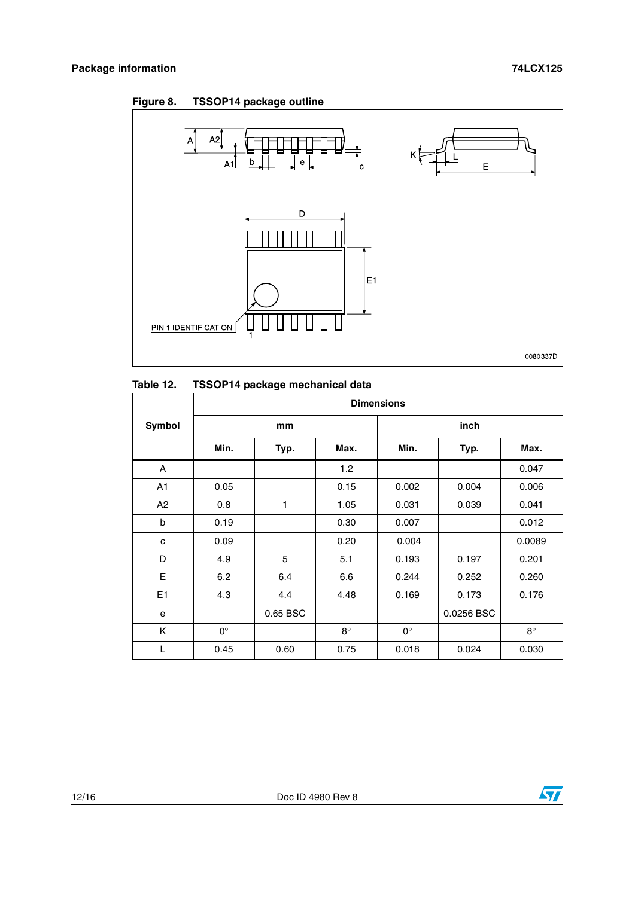

| Table 12. | TSSOP14 package mechanical data |
|-----------|---------------------------------|
|-----------|---------------------------------|

|                | <b>Dimensions</b> |          |             |             |            |             |  |  |
|----------------|-------------------|----------|-------------|-------------|------------|-------------|--|--|
| Symbol         | mm                |          |             | inch        |            |             |  |  |
|                | Min.              | Typ.     | Max.        | Min.        | Typ.       | Max.        |  |  |
| A              |                   |          | 1.2         |             |            | 0.047       |  |  |
| A <sub>1</sub> | 0.05              |          | 0.15        | 0.002       | 0.004      | 0.006       |  |  |
| A2             | 0.8               | 1        | 1.05        | 0.031       | 0.039      | 0.041       |  |  |
| b              | 0.19              |          | 0.30        | 0.007       |            | 0.012       |  |  |
| c              | 0.09              |          | 0.20        | 0.004       |            | 0.0089      |  |  |
| D              | 4.9               | 5        | 5.1         | 0.193       | 0.197      | 0.201       |  |  |
| E              | 6.2               | 6.4      | 6.6         | 0.244       | 0.252      | 0.260       |  |  |
| E <sub>1</sub> | 4.3               | 4.4      | 4.48        | 0.169       | 0.173      | 0.176       |  |  |
| e              |                   | 0.65 BSC |             |             | 0.0256 BSC |             |  |  |
| K              | $0^{\circ}$       |          | $8^{\circ}$ | $0^{\circ}$ |            | $8^{\circ}$ |  |  |
| L              | 0.45              | 0.60     | 0.75        | 0.018       | 0.024      | 0.030       |  |  |

## **Figure 8. TSSOP14 package outline**



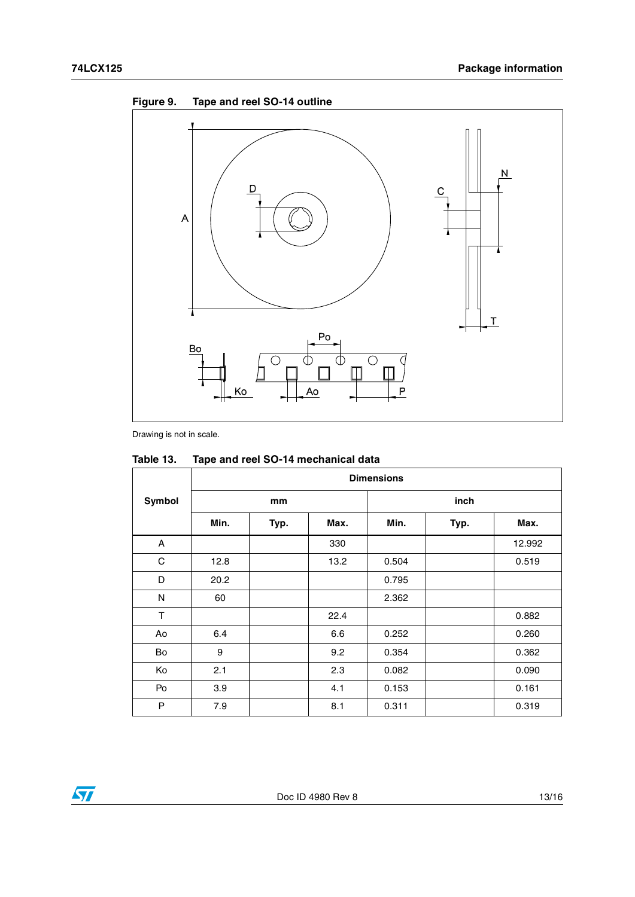

Drawing is not in scale.

|        | <b>Dimensions</b> |      |      |       |      |        |  |
|--------|-------------------|------|------|-------|------|--------|--|
| Symbol | mm                |      |      | inch  |      |        |  |
|        | Min.              | Typ. | Max. | Min.  | Typ. | Max.   |  |
| A      |                   |      | 330  |       |      | 12.992 |  |
| С      | 12.8              |      | 13.2 | 0.504 |      | 0.519  |  |
| D      | 20.2              |      |      | 0.795 |      |        |  |
| N      | 60                |      |      | 2.362 |      |        |  |
| T      |                   |      | 22.4 |       |      | 0.882  |  |
| Ao     | 6.4               |      | 6.6  | 0.252 |      | 0.260  |  |
| Bo     | 9                 |      | 9.2  | 0.354 |      | 0.362  |  |
| Ko     | 2.1               |      | 2.3  | 0.082 |      | 0.090  |  |
| Po     | 3.9               |      | 4.1  | 0.153 |      | 0.161  |  |
| P      | 7.9               |      | 8.1  | 0.311 |      | 0.319  |  |

| Table 13. | Tape and reel SO-14 mechanical data |
|-----------|-------------------------------------|
|-----------|-------------------------------------|

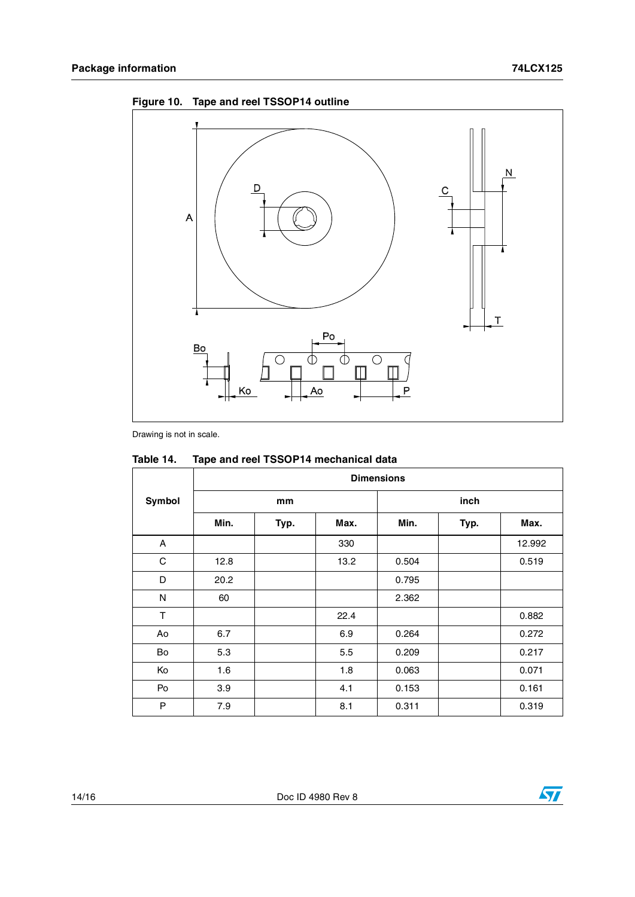



Drawing is not in scale.

|        | <b>Dimensions</b> |      |      |       |      |        |  |  |
|--------|-------------------|------|------|-------|------|--------|--|--|
| Symbol |                   | mm   |      |       | inch |        |  |  |
|        | Min.              | Typ. | Max. | Min.  | Typ. | Max.   |  |  |
| A      |                   |      | 330  |       |      | 12.992 |  |  |
| С      | 12.8              |      | 13.2 | 0.504 |      | 0.519  |  |  |
| D      | 20.2              |      |      | 0.795 |      |        |  |  |
| N      | 60                |      |      | 2.362 |      |        |  |  |
| T      |                   |      | 22.4 |       |      | 0.882  |  |  |
| Ao     | 6.7               |      | 6.9  | 0.264 |      | 0.272  |  |  |
| Bo     | 5.3               |      | 5.5  | 0.209 |      | 0.217  |  |  |
| Ko     | 1.6               |      | 1.8  | 0.063 |      | 0.071  |  |  |
| Po     | 3.9               |      | 4.1  | 0.153 |      | 0.161  |  |  |
| P      | 7.9               |      | 8.1  | 0.311 |      | 0.319  |  |  |

. **Table 14. Tape and reel TSSOP14 mechanical data**

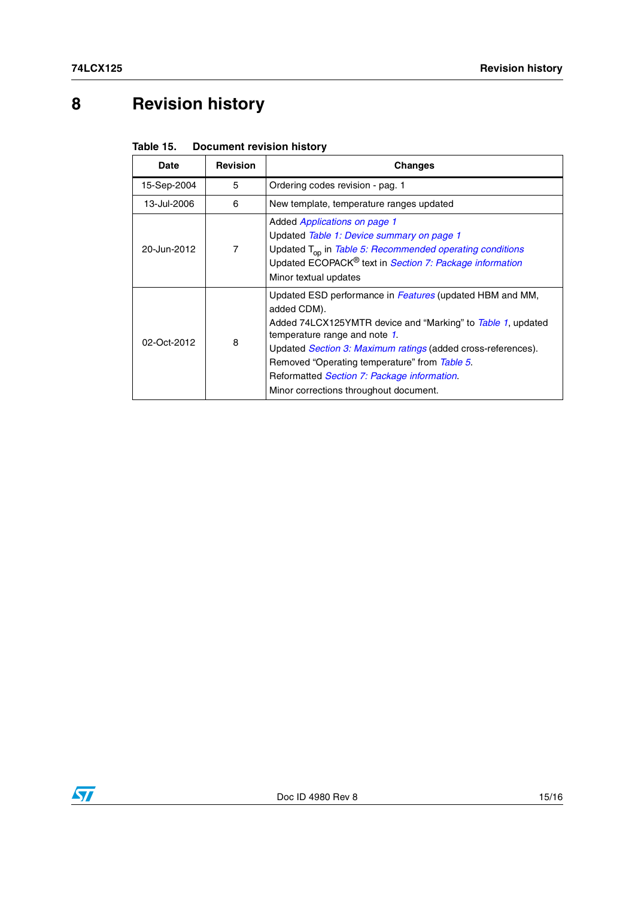# <span id="page-14-0"></span>**8 Revision history**

| Table 15. | <b>Document revision history</b> |  |
|-----------|----------------------------------|--|
|-----------|----------------------------------|--|

| Date        | <b>Revision</b> | Changes                                                                                                                                                                                                                                                                                                                                                                                  |
|-------------|-----------------|------------------------------------------------------------------------------------------------------------------------------------------------------------------------------------------------------------------------------------------------------------------------------------------------------------------------------------------------------------------------------------------|
| 15-Sep-2004 | 5               | Ordering codes revision - pag. 1                                                                                                                                                                                                                                                                                                                                                         |
| 13-Jul-2006 | 6               | New template, temperature ranges updated                                                                                                                                                                                                                                                                                                                                                 |
| 20-Jun-2012 | 7               | Added <i>Applications on page 1</i><br>Updated Table 1: Device summary on page 1<br>Updated T <sub>op</sub> in Table 5: Recommended operating conditions<br>Updated ECOPACK® text in Section 7: Package information<br>Minor textual updates                                                                                                                                             |
| 02-Oct-2012 | 8               | Updated ESD performance in Features (updated HBM and MM,<br>added CDM).<br>Added 74LCX125YMTR device and "Marking" to Table 1, updated<br>temperature range and note 1.<br>Updated <i>Section 3: Maximum ratings</i> (added cross-references).<br>Removed "Operating temperature" from Table 5.<br>Reformatted Section 7: Package information.<br>Minor corrections throughout document. |